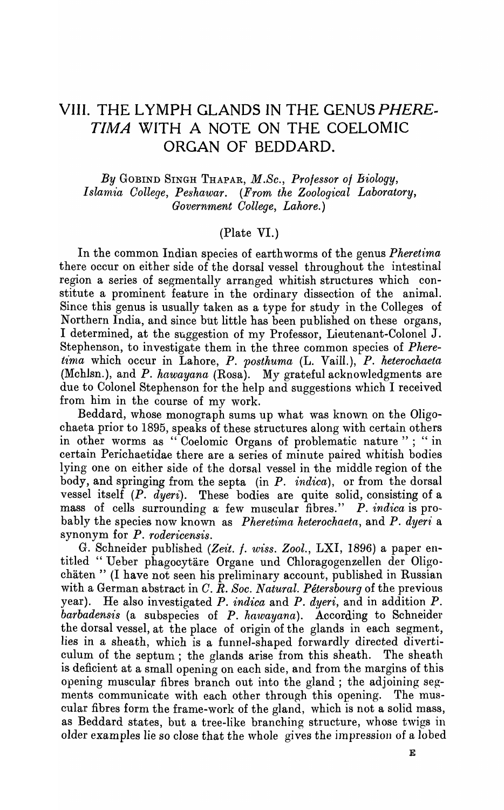# **VIII. THE LYMPH GLANDS IN THE GENUS PHERE. TIMA WITH A NOTE ON THE COELOMIC ORGAN OF BEDDARD.**

*By* GOBIND SINGH THAPAR, *M.Sc., Professor of Biology, Islamia College, Peshawar. (From the Zoological Laboratory, Government College, Lahore.)* 

#### (Plate VI.)

In the common Indian species of earthworms of the genus *Pheretima*. there occur on either side of the dorsal vessel throughout the intestinal region a series of segmentally arranged whitish structures which constitute a prominent feature in the ordinary dissection of the animal. Since this genus is usually taken as a type for study in the Colleges of Northern India, and since but little has been published on these organs, I determined, at the suggestion of my Professor, Lieutenant-Colonel J. Stephenson, to investigate them in the three common species of *Phere*tima which occur in Lahore, *P. posthuma (L. Vaill.), <i>P. heterochaeta* (Mchlsn.), and *P. hawayana* (Rosa). My grateful acknowledgments are due to Colonel Stephenson for the help and suggestions which I received from him in the course of my work.

Beddard, whose monograph sums up what was known on the Oligochaeta prior to 1895, speaks of these structures along with certain others in other worms as "Coelomic Organs of problematic nature"; "in certain Perichaetidae there are a series of minute paired whitish bodies lying one on either side of the dorsal vessel in the middle region of the body, and springing from the septa (in *P. indica),* or from the dorsal vessel itself *(P. dyeri).* These bodies are quite solid, consisting of a mass of cells surrounding a few muscular fibres." *P. indica* is probably the species now known as *Pheretima heterochaeta*, and *P. dyeri* a synonym for *P. rodericensis.* 

G. Schneider published *(Zeit.* f. *wiss. Zool.,* LXI, 1896) a paper entitled" Ueber phagocytare Organe und Chloragogenzellen der Oligochaten" (1 have not seen his preliminary account, published in Russian with a German abstract in *C. R. Soc. Natural. Petersbourg* of the previous year). He also investigated *P. indica* and *P. dyeri,* and in addition *P. barbadensis* (a subspecies of *P. hawayana*). According to Schneider the dorsal vessel, at the place of origin of the glands in each segment, lies in a sheath, which is a funnel-shaped forwardly directed diverticulum of the septum; the glands arise from this sheath. The sheath is deficient at a small opening on each side, and from the margins of this opening muscular fibres branch out into the gland; the adjoining segments communicate with each other through this opening. The muscular fibres form the frame-work of the gland, which is not a solid mass, as Beddard states, but a tree-like branching structure, whose twigs in older examples lie so close that the whole gives the impression of a lobed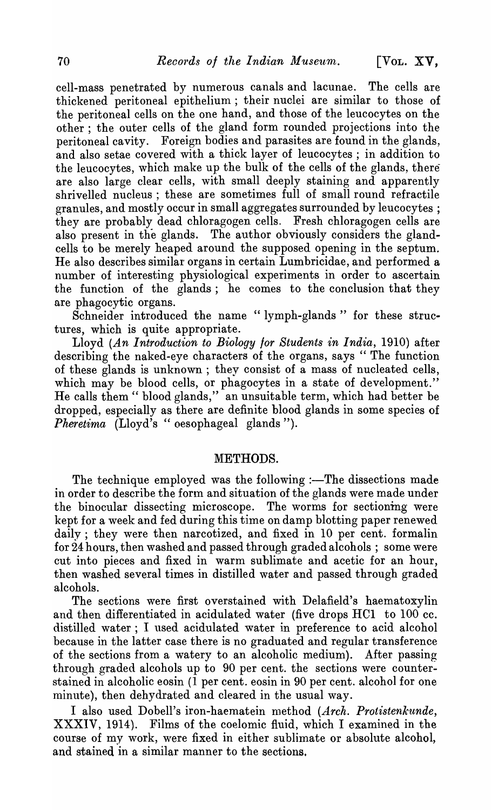cell-mass penetrated by numerous canals and lacunae. The cells are thickened peritoneal epithelium; their nuclei are similar to those of the peritoneal cells on the one hand, and those of the leucocytes on the other; the outer cells of the gland form rounded projections into the peritoneal cavity. Foreign bodies and parasites are found in the glands, and also setae covered with a thick layer of leucocytes ; in addition to the leucocytes, which make up the bulk of the cells of the glands, there are also large clear cells, with small deeply staining and apparently shrivelled nucleus; these are sometimes full of small round refractile granules, and mostly occur in small aggregates surrounded by leucocytes ; they are probably dead chloragogen cells. Fresh chloragogen cells are also present in the glands. The author obviously considers the glandcells to be merely heaped around the supposed opening in the septum. He also describes similar organs in certain Lumbricidae, and performed a number of interesting physiological experiments in order to ascertain the function of the glands; he comes to the conclusion that they are phagocytic organs.

Schneider introduced the name "lymph-glands" for these structures, which is quite appropriate.

Lloyd *(An Introduction to Biology lor Students in India,* 1910) after describing the naked-eye characters of the organs, says "The function of these glands is unknown; they consist of a mass of nucleated cells, which may be blood cells, or phagocytes in a state of development." He calls them" blood glands," an unsuitable term, which had better be dropped, especially as there are definite blood glands in some species of *Pheretima (Lloyd's* "oesophageal glands").

### METHODS.

The technique employed was the following :—The dissections made in order to describe the form and situation of the glands were made under the binocular dissecting microscope. The worms for sectioning were kept for a week and fed during this time on damp blotting paper renewed daily; they were then narcotized, and fixed in 10 per cent. formalin for 24 hours, then washed and passed through graded alcohols; some were cut into pieces and fixed in warm sublimate and acetic for an hour, then washed several times in distilled water and passed through graded alcohols.

The sections were first overstained with Delafield's haematoxylin and then differentiated in acidulated water (five drops HCl to 100 cc. distilled water; I used acidulated water in preference to acid alcohol because in the latter case there is no graduated and regular transference of the sections from a watery to an alcoholic medium). After passing through graded alcohols up to 90 per cent. the sections were counterstained in alcoholic eosin (1 per cent. eosin in 90 per cent. alcohol for one minute), then dehydrated and cleared in the usual way.

I also used Dobell's iron-haematein method *(Arch. Protistenkunde,*  XXXIV, 1914). Films of the coelomic fluid, which I examined in the course of my work, were fixed in either sublimate or absolute alcohol, and stained in a similar manner to the sections.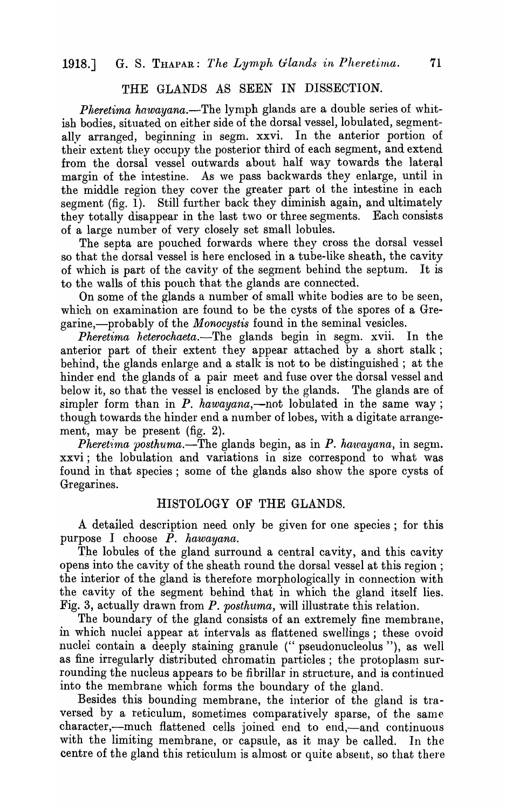## THE GLANDS AS SEEN IN DISSECTION.

Pheretima hawayana.-The lymph glands are a double series of whitish bodies, situated on either side of the dorsal vessel, lobulated, segmentally arranged, beginning in segm. xxvi. In the anterior portion of their extent they occupy the posterior third of each segment, and extend from the dorsal vessel outwards about half way towards the lateral margin of the intestine. As we pass backwards they enlarge, until in the middle region they cover the greater part 01 the intestine in each segment (fig. 1). Still further back they diminish again, and ultimately they totally disappear in the last two or three segments. Each consists of a large number of very closely set small lobules.

The septa are pouched forwards where they cross the dorsal vessel so that the dorsal vessel is here enclosed in a tube-like sheath, the cavity of which is part of the cavity of the segment behind the septum. It is to the walls of this pouch that the glands are connected.

On some of the glands a number of small white bodies are to be seen, which on examination are found to be the cysts of the spores of a Gregarine,—probably of the *Monocystis* found in the seminal vesicles.

*Pheretima heterochaeta.-The* glands begin in segm. xvii. In the anterior part of their extent they appear attached by a short stalk; behind, the glands enlarge and a stalk is not to be distinguished; at the hinder end the glands of a pair meet and fuse over the dorsal vessel and below it, so that the vessel is enclosed by the glands. The glands are of simpler form than in  $P$ . hawayana,—not lobulated in the same way; though towards the hinder end a number of lobes, with a digitate arrangement, may be present (fig. 2).

*Pheretima posthuma.*—The glands begin, as in *P. hawayana*, in segm. xxvi; the lobulation and variations in size correspond to what was found in that species; some of the glands also show the spore cysts of Gregarines.

#### HISTOLOGY OF THE GLANDS.

A detailed description need only be given for one species; for this purpose I choose *P. hawayana.* 

The lobules of the gland surround a central cavity, and this cavity opens into the cavity of the sheath round the dorsal vessel at this region; the interior of the gland is therefore morphologically in connection with the cavity of the segment behind that in which the gland itself lies. Fig. 3, actually drawn from *P. posthuma*, will illustrate this relation.

The boundary of the gland consists of an extremely fine membrane, in which nuclei appear at intervals as flattened swellings; these ovoid nuclei contain a deeply staining granule (" pseudonucleolus "), as well as fine irregularly distributed chromatin particles; the protoplasm surrounding the nucleus appears to be fibrillar in structure, and is continued into the membrane which forms the boundary of the gland.

Besides this bounding membrane, the interior of the gland is traversed by a reticulum, sometimes comparatively sparse, of the same character,—much flattened cells joined end to end,—and continuous with the limiting membrane, or capsule, as it may be called. In the centre of the gland this reticulum is almost or quite absent, so that there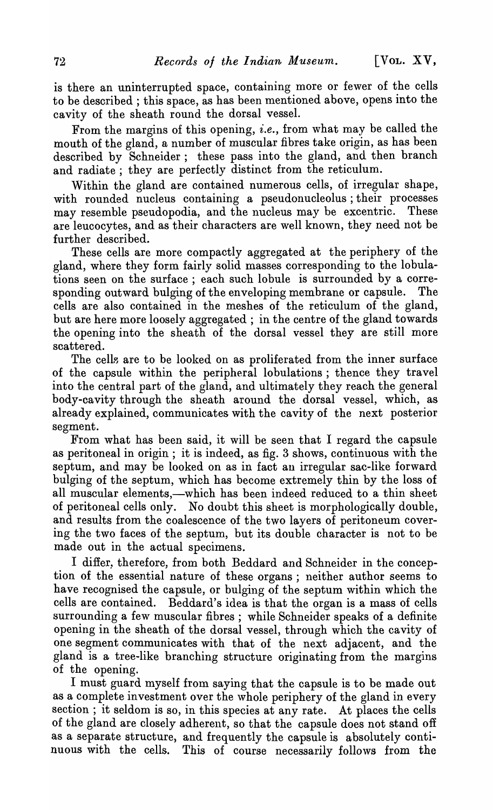is there an uninterrupted space, containing more or fewer of the cells to be described; this space, as has been mentioned above, opens into the ca vity of the sheath round the dorsal vessel.

From the margins of this opening, *i.e.,* from what may be called the mouth of the gland, a number of muscular fibres take origin, as has been described by Schneider; these pass into the gland, and then branch and radiate; they are perfectly distinct from the reticulum.

Within the gland are contained numerous cells, of irregular shape, with rounded nucleus containing a pseudonucleolus; their processes may resemble pseudopodia, and the nucleus may be excentric. These are leucocytes, and as their characters are well known, they need not be further described.

These cells are more compactly aggregated at the periphery of the gland, where they form fairly solid masses corresponding to the lobulations seen on the surface ; each such lobule is surrounded by a corresponding outward bulging of the enveloping membrane or capsule. The cells are also contained in the meshes of the reticulum of the gland, but are here more loosely aggregated; in the centre of the gland towards the opening into the sheath of the dorsal vessel they are still more scattered.

The cells are to be looked on as proliferated from the inner surface of the capsule within the peripheral lobulations; thence they travel into the central part of the gland, and ultimately they reach the general body-cavity through the sheath around the dorsal vessel, which, as already explained, communicates with the cavity of the next posterior segment.

From what has been said, it will be seen that I regard the capsule as peritoneal in origin; it is indeed, as fig. 3 shows, continuous with the septum, and may be looked on as in fact an irregular sac-like forward bulging of the septum, which has become extremely thin by the loss of all muscular elements,—which has been indeed reduced to a thin sheet of peritoneal cells only. No doubt this sheet is morphologically double, and results from the coalescence of the two layers of peritoneum covering the two faces of the septum, but its double character is not to be made out in the actual specimens.

I differ, therefore, from both Beddard and Schneider in the conception of the essential nature of these organs; neither author seems to have recognised the capsule, or bulging of the septum within which the cells are contained. Beddard's idea is that the organ is a mass of cells surrounding a few muscular fibres; while Schneider speaks of a definite opening in the sheath of the dorsal vessel, through which the cavity of one segment communicates with that of the next adjacent, and the gland is a tree-like branching structure originating from the margins of the opening.

I must guard myself from saying that the capsule is to be made out as a complete investment over the whole periphery of the gland in every section; it seldom is so, in this species at any rate. At places the cells of the gland are closely adherent, so that the capsule does not stand off as a separate structure, and frequently the capsule is absolutely continuous with the cells. This of course necessarily follows from the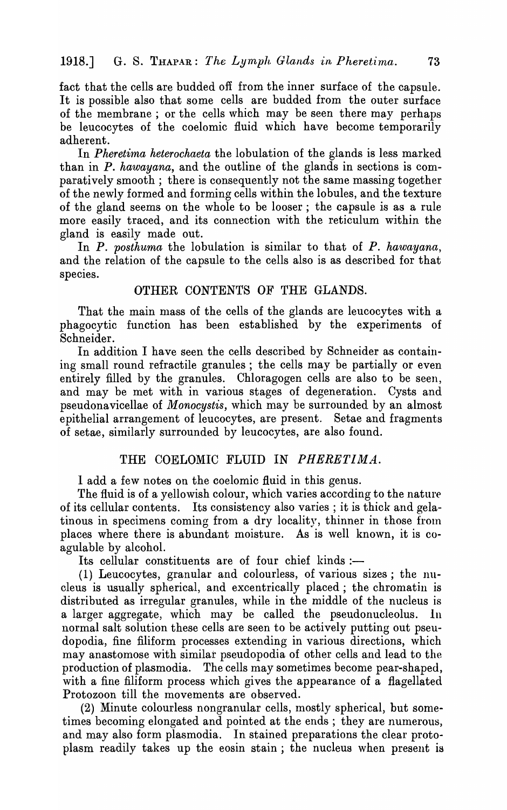fact that the cells are budded off from the inner surface of the capsule. It is possible also that some cells are budded from the outer surface of the membrane; or the cells which may be seen there may perhaps be leucocytes of the coelomic fluid which have become temporarily adherent.

In *Pheretima heterochaeta* the lobulation of the glands is less marked than in *P. hawayana,* and the outline of the glands in sections is comparatively smooth; there is consequently not the same massing together of the newly formed and forming cells within the lobules, and the texture of the gland seems on the whole to be looser; the capsule is as a rule more easily traced, and its connection with the reticulum within the gland is easily made out.

In *P. posthuma* the lobulation is similar to that of *P. hawayana,*  and the relation of the capsule to the cells also is as described for that species.

#### OTHER CONTENTS OF THE GLANDS.

That the main mass of the cells of the glands are leucocytes with a phagocytic function has been established by the experiments of Schneider.

In addition I have seen the cells described by Schneider as containing small round refractile granules; the cells may be partially or even entirely filled by the granules. Chloragogen cells are also to be seen, and may be met with in various stages of degeneration. Cysts and pseudonavicellae of *Monocystis,* which may be surrounded by an almost epithelial arrangement of leucocytes, are present. Setae and fragments of setae, similarly surrounded by leucocytes, are also found.

#### THE COELOMIC FLUID IN *PHERETIMA.*

I add a few notes on the coelomic fluid in this genus.

The fluid is of a yellowish colour, which varies according to the nature of its cellular contents. Its consistency also varies; it is thick and gelatinous in specimens coming from a dry locality, thinner in those from places where there is abundant moisture. As is well known, it is coagulable by alcohol.

Its cellular constituents are of four chief kinds :-

(1) Leucocytes, granular and colourless, of various sizes; the nucleus is usually spherical, and excentrically placed; the chromatin is distributed as irregular granules, while in the middle of the nucleus is a larger aggregate, which may be called the pseudonucleolus. In normal salt solution these cells are seen to be actively putting out pseudopodia, fine filiform processes extending in various directions, which may anastomose with similar pseudopodia of other cells and lead to the production of plasmodia. The cells may sometimes become pear-shaped, with a fine filiform process which gives the appearance of a flagellated Protozoon till the movements are observed.

(2) Minute colourless nongranular cells, mostly spherical, but sometimes becoming elongated and pointed at the ends; they are numerous, and may also form plasmodia. In stained preparations the clear protoplasm readily takes up the eosin stain; the nucleus when present is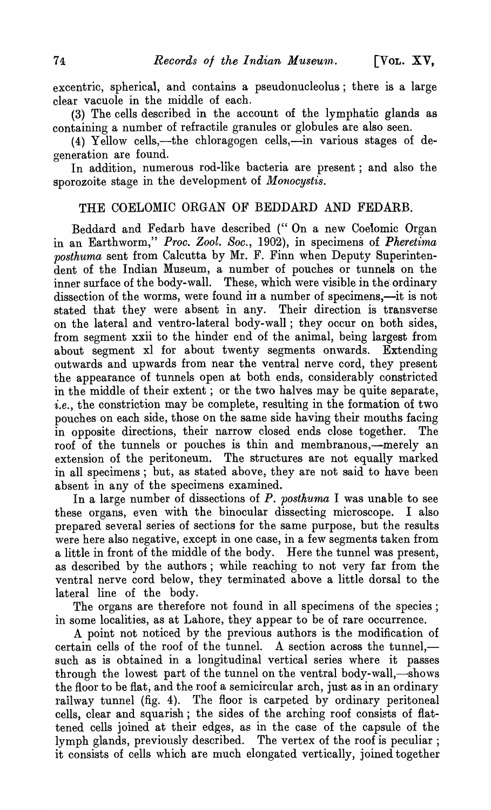excentric, spherical, and contains a pseudonucleolus; there is a large clear vacuole in the middle of each.

(3) The cells described in the account of the lymphatic glands as containing a number of refractile granules or globules are also seen.

(4) Yellow cells,—the chloragogen cells,—in various stages of degeneration are found.

In addition, numerous rod-like bacteria are present; and also the sporozoite stage in the development of *Monocystis*.

## THE COELOMIC ORGAN OF BEDDARD AND FEDARB.

Beddard and Fedarb have described (" On a new Coelomic Organ in an Earthworm," *Proc. Zool. Soc.,* 1902), in specimens of *Pheretima posthuma* sent from Calcutta by Mr. F. Finn when Deputy Superintendent of the Indian Museum, a number of pouches or tunnels on the inner surface of the body-wall. These, which were visible in the ordinary dissection of the worms, were found in a number of specimens,—it is not stated that they were absent in any. Their direction is transverse on the lateral and ventro-Iateral body-wall; they occur on both sides, from segment xxii to the hinder end of the animal, being largest from about segment xl for about twenty segments onwards. Extending outwards and upwards from near the ventral nerve cord, they present the appearance of tunnels open at both ends, considerably constricted in the middle of their extent; or the two halves may be quite separate, *i.e.,* the constriction may be complete, resulting in the formation of two pouches on each side, those on the same side having their mouths facing in opposite directions, their narrow closed ends close together. The roof of the tunnels or pouches is thin and membranous,—merely an extension of the peritoneum. The structures are not equally marked in all specimens; but, as stated above, they are not said to have been absent in any of the specimens examined.

In a large number of dissections of *P. posthuma* I was unable to see these organs, even with the binocular dissecting microscope. I also prepared several series of sections for the same purpose, but the results were here also negative, except in one case, in a few segments taken from a little in front of the middle of the body. Here the tunnel was present, as described by the authors; while reaching to not very far from the ventral nerve cord below, they terminated above a little dorsal to the lateral line of the body.

The organs are therefore not found in all specimens of the species; in some localities, as at Lahore, they appear to be of rare occurrence.

A point not noticed by the previous authors is the modification of certain cells of the roof of the tunnel. A section across the tunnel. such as is obtained in a longitudinal vertical series where it passes through the lowest part of the tunnel on the ventral body-wall,—shows the floor to be flat, and the roof a semicircular arch, just as in an ordinary railway tunnel (fig. 4). The floor is carpeted by ordinary peritoneal cells, clear and squarish; the sides of the arching roof consists of flattened cells joined at their edges, as in the case of the capsule of the lymph glands, previously described. The vertex of the roof is peculiar; it consists of cells which are much elongated vertically, joined together